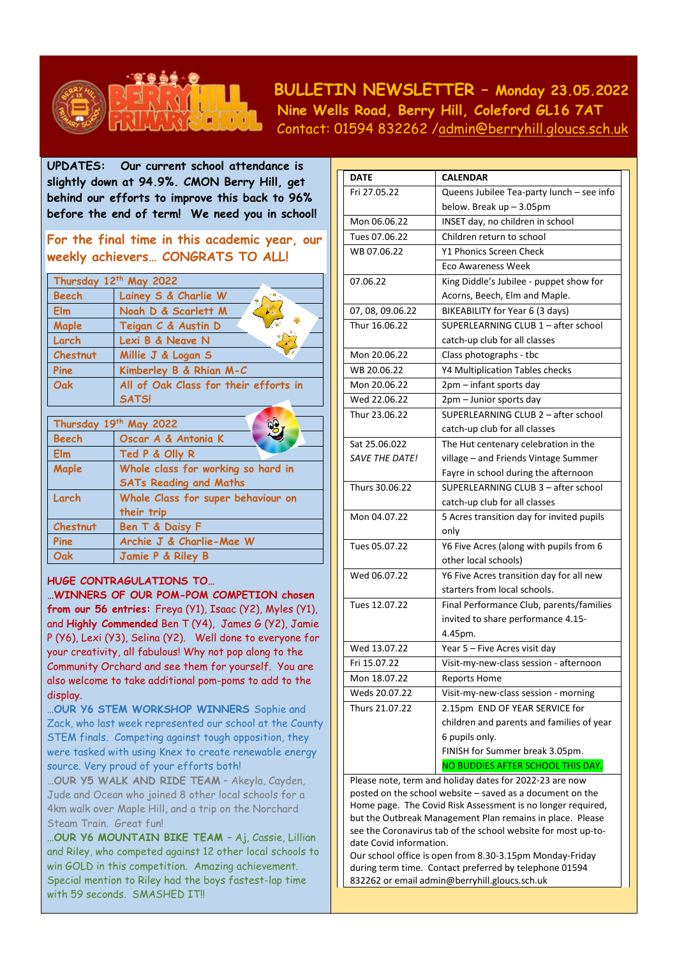

 **BULLETIN NEWSLETTER – Monday 23.05.2022 Nine Wells Road, Berry Hill, Coleford GL16 7AT** Contact: 01594 832262 [/admin@berryhill.gloucs.sch.uk](mailto:admin@berryhill.gloucs.sch.uk)

**UPDATES: Our current school attendance is slightly down at 94.9%. CMON Berry Hill, get behind our efforts to improve this back to 96% before the end of term! We need you in school!** 

**For the final time in this academic year, our weekly achievers… CONGRATS TO ALL!**

| Thursday 12th May 2022 |                                       |  |
|------------------------|---------------------------------------|--|
| <b>Beech</b>           | Lainey S & Charlie W                  |  |
| <b>Elm</b>             | ÷<br>Noah D & Scarlett M              |  |
| Maple                  | Teigan C & Austin D                   |  |
| Larch                  | Lexi B & Neave N                      |  |
| Chestnut               | Millie J & Logan S                    |  |
| Pine                   | Kimberley B & Rhian M-C               |  |
| Oak                    | All of Oak Class for their efforts in |  |
|                        | <b>SATS!</b>                          |  |
| Thursday 19th May 2022 |                                       |  |

|              | Thursday 19th May 2022             |  |
|--------------|------------------------------------|--|
| <b>Beech</b> | Oscar A & Antonia K                |  |
| Elm          | Ted P & Olly R                     |  |
| Maple        | Whole class for working so hard in |  |
|              | <b>SATs Reading and Maths</b>      |  |
| Larch        | Whole Class for super behaviour on |  |
|              | their trip                         |  |
| Chestnut     | Ben T & Daisy F                    |  |
| Pine         | Archie J & Charlie-Mae W           |  |
| Oak          | Jamie P & Riley B                  |  |

## **HUGE CONTRAGULATIONS TO…**

**…WINNERS OF OUR POM-POM COMPETION chosen from our 56 entries:** Freya (Y1), Isaac (Y2), Myles (Y1), and **Highly Commended** Ben T (Y4), James G (Y2), Jamie P (Y6), Lexi (Y3), Selina (Y2). Well done to everyone for your creativity, all fabulous! Why not pop along to the Community Orchard and see them for yourself. You are also welcome to take additional pom-poms to add to the display.

**…OUR Y6 STEM WORKSHOP WINNERS** Sophie and Zack, who last week represented our school at the County STEM finals. Competing against tough opposition, they were tasked with using Knex to create renewable energy source. Very proud of your efforts both!

**…OUR Y5 WALK AND RIDE TEAM** – Akeyla, Cayden, Jude and Ocean who joined 8 other local schools for a 4km walk over Maple Hill, and a trip on the Norchard Steam Train. Great fun!

**…OUR Y6 MOUNTAIN BIKE TEAM** – Aj, Cassie, Lillian and Riley, who competed against 12 other local schools to win GOLD in this competition. Amazing achievement. Special mention to Riley had the boys fastest-lap time with 59 seconds. SMASHED IT!

| <b>DATE</b>           | <b>CALENDAR</b>                                                                                                      |  |  |
|-----------------------|----------------------------------------------------------------------------------------------------------------------|--|--|
| Fri 27.05.22          | Queens Jubilee Tea-party lunch - see info                                                                            |  |  |
|                       | below. Break $up-3.05pm$                                                                                             |  |  |
| Mon 06.06.22          | INSET day, no children in school                                                                                     |  |  |
| Tues 07.06.22         | Children return to school                                                                                            |  |  |
| WB 07.06.22           | Y1 Phonics Screen Check                                                                                              |  |  |
|                       | <b>Eco Awareness Week</b>                                                                                            |  |  |
| 07.06.22              | King Diddle's Jubilee - puppet show for                                                                              |  |  |
|                       | Acorns, Beech, Elm and Maple.                                                                                        |  |  |
| 07, 08, 09.06.22      | BIKEABILITY for Year 6 (3 days)                                                                                      |  |  |
| Thur 16.06.22         | SUPERLEARNING CLUB 1 - after school                                                                                  |  |  |
|                       | catch-up club for all classes                                                                                        |  |  |
| Mon 20.06.22          | Class photographs - tbc                                                                                              |  |  |
| WB 20.06.22           | Y4 Multiplication Tables checks                                                                                      |  |  |
| Mon 20.06.22          | 2pm - infant sports day                                                                                              |  |  |
| Wed 22.06.22          | 2pm - Junior sports day                                                                                              |  |  |
| Thur 23.06.22         | SUPERLEARNING CLUB 2 - after school                                                                                  |  |  |
|                       | catch-up club for all classes                                                                                        |  |  |
| Sat 25.06.022         | The Hut centenary celebration in the                                                                                 |  |  |
| <b>SAVE THE DATE!</b> | village – and Friends Vintage Summer                                                                                 |  |  |
|                       | Fayre in school during the afternoon                                                                                 |  |  |
| Thurs 30.06.22        | SUPERLEARNING CLUB 3 - after school                                                                                  |  |  |
|                       | catch-up club for all classes                                                                                        |  |  |
| Mon 04.07.22          | 5 Acres transition day for invited pupils                                                                            |  |  |
|                       | only                                                                                                                 |  |  |
| Tues 05.07.22         | Y6 Five Acres (along with pupils from 6                                                                              |  |  |
|                       | other local schools)                                                                                                 |  |  |
| Wed 06.07.22          | Y6 Five Acres transition day for all new                                                                             |  |  |
|                       | starters from local schools.                                                                                         |  |  |
| Tues 12.07.22         | Final Performance Club, parents/families                                                                             |  |  |
|                       | invited to share performance 4.15-                                                                                   |  |  |
|                       | 4.45pm.                                                                                                              |  |  |
| Wed 13.07.22          | Year 5 - Five Acres visit day                                                                                        |  |  |
| Fri 15.07.22          | Visit-my-new-class session - afternoon                                                                               |  |  |
| Mon 18.07.22          | <b>Reports Home</b>                                                                                                  |  |  |
| Weds 20.07.22         | Visit-my-new-class session - morning                                                                                 |  |  |
| Thurs 21.07.22        | 2.15pm END OF YEAR SERVICE for                                                                                       |  |  |
|                       | children and parents and families of year                                                                            |  |  |
|                       | 6 pupils only.                                                                                                       |  |  |
|                       | FINISH for Summer break 3.05pm.                                                                                      |  |  |
|                       | NO BUDDIES AFTER SCHOOL THIS DAY.                                                                                    |  |  |
|                       | Please note, term and holiday dates for 2022-23 are now<br>posted on the school website – saved as a document on the |  |  |

posted on the school website – saved as a document on the Home page. The Covid Risk Assessment is no longer required, but the Outbreak Management Plan remains in place. Please see the Coronavirus tab of the school website for most up-todate Covid information.

Our school office is open from 8.30-3.15pm Monday-Friday during term time. Contact preferred by telephone 01594 832262 or emai[l admin@berryhill.gloucs.sch.uk](mailto:admin@berryhill.gloucs.sch.uk)